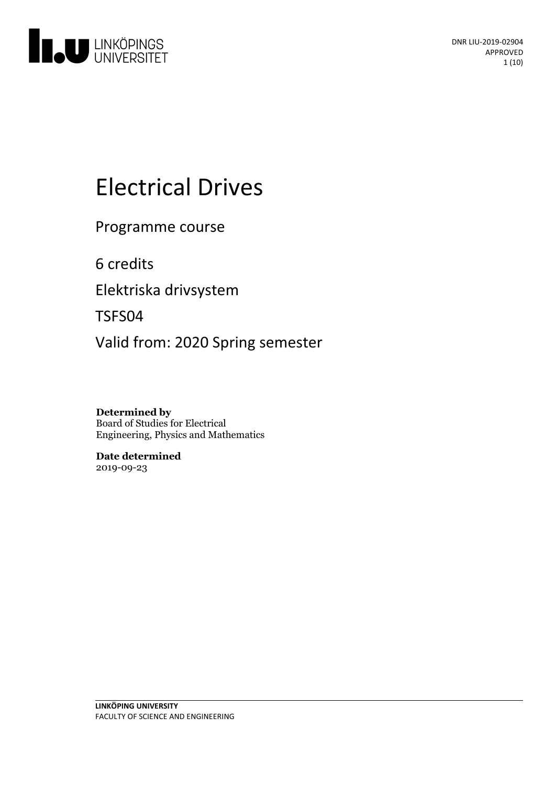

# Electrical Drives

Programme course

6 credits

Elektriska drivsystem

TSFS04

Valid from: 2020 Spring semester

**Determined by** Board of Studies for Electrical Engineering, Physics and Mathematics

**Date determined** 2019-09-23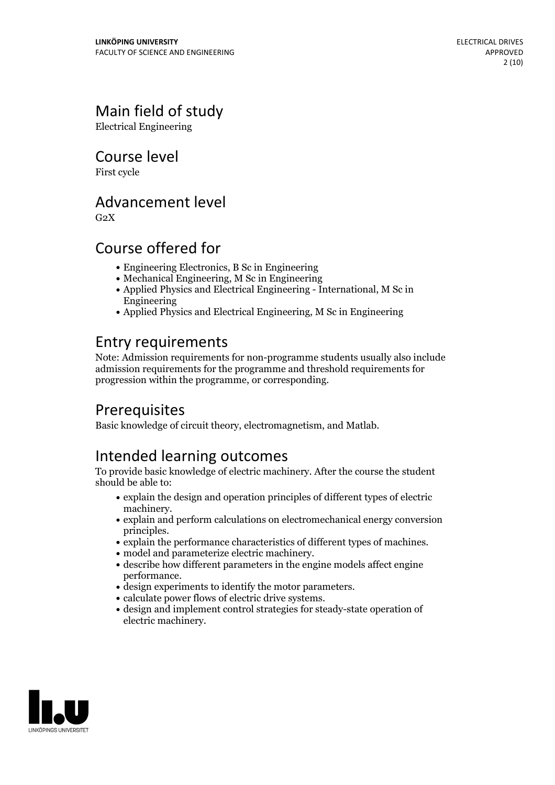# Main field of study

Electrical Engineering

Course level

First cycle

### Advancement level

 $G<sub>2</sub>X$ 

# Course offered for

- Engineering Electronics, B Sc in Engineering
- Mechanical Engineering, M Sc in Engineering
- Applied Physics and Electrical Engineering International, M Sc in Engineering
- Applied Physics and Electrical Engineering, M Sc in Engineering

# Entry requirements

Note: Admission requirements for non-programme students usually also include admission requirements for the programme and threshold requirements for progression within the programme, or corresponding.

# **Prerequisites**

Basic knowledge of circuit theory, electromagnetism, and Matlab.

# Intended learning outcomes

To provide basic knowledge of electric machinery. After the course the student should be able to:

- $\bullet$  explain the design and operation principles of different types of electric machinery.
- $\bullet$  explain and perform calculations on electromechanical energy conversion
- explain the performance characteristics of different types of machines.<br>• model and parameterize electric machinery.<br>• describe how different parameters in the engine models affect engine
- 
- design experiments to identify the motor parameters.<br>• calculate power flows of electric drive systems.<br>• design and implement control strategies for steady-state operation of
- 
- 
- electric machinery.

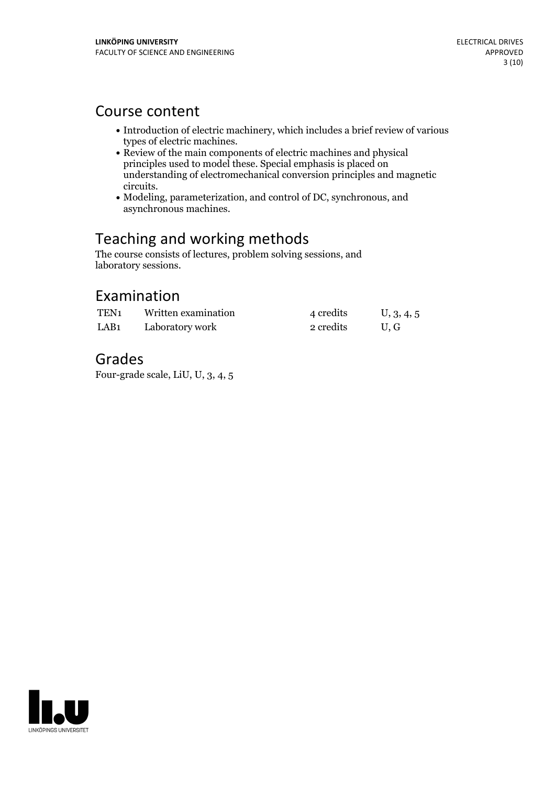### Course content

- Introduction of electric machinery, which includes a brief review of various
- types of electric machines.<br>• Review of the main components of electric machines and physical principles used to model these. Special emphasis is placed on understanding of electromechanical conversion principles and magnetic
- Modeling, parameterization, and control of DC, synchronous, and asynchronous machines.

# Teaching and working methods

The course consists of lectures, problem solving sessions, and laboratory sessions.

### Examination

| TEN <sub>1</sub> | Written examination | 4 credits | U, 3, 4, 5 |
|------------------|---------------------|-----------|------------|
| LAB <sub>1</sub> | Laboratory work     | 2 credits | U.G        |

# Grades

Four-grade scale, LiU, U, 3, 4, 5

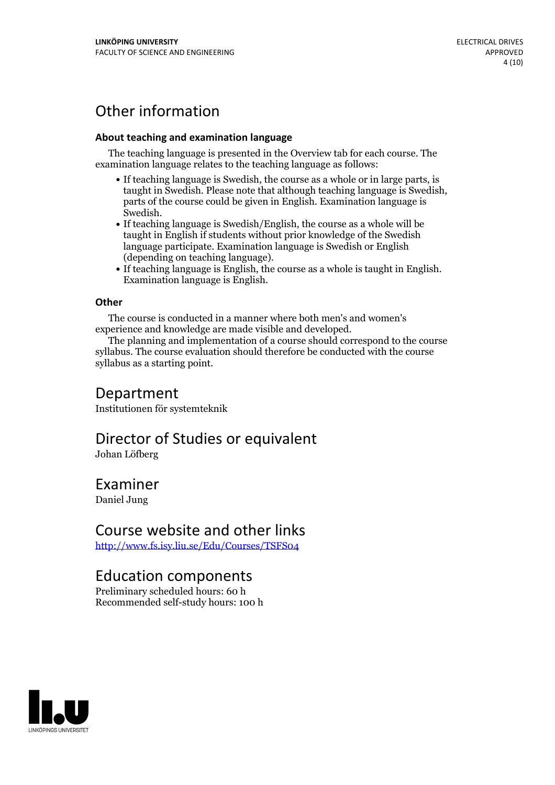# Other information

#### **About teaching and examination language**

The teaching language is presented in the Overview tab for each course. The examination language relates to the teaching language as follows:

- If teaching language is Swedish, the course as a whole or in large parts, is taught in Swedish. Please note that although teaching language is Swedish, parts of the course could be given in English. Examination language is
- Swedish.<br>• If teaching language is Swedish/English, the course as a whole will be taught in English if students without prior knowledge of the Swedish language participate. Examination language is Swedish or English
- (depending on teaching language).<br>
 If teaching language is English, the course as a whole is taught in English.<br>
Examination language is English.

#### **Other**

The course is conducted in a manner where both men's and women's

experience and knowledge are made visible and developed. The planning and implementation of <sup>a</sup> course should correspond to the course syllabus. The course evaluation should therefore be conducted with the course syllabus as a starting point.

### Department

Institutionen för systemteknik

# Director of Studies or equivalent

Johan Löfberg

### Examiner

Daniel Jung

### Course website and other links

<http://www.fs.isy.liu.se/Edu/Courses/TSFS04>

### Education components

Preliminary scheduled hours: 60 h Recommended self-study hours: 100 h

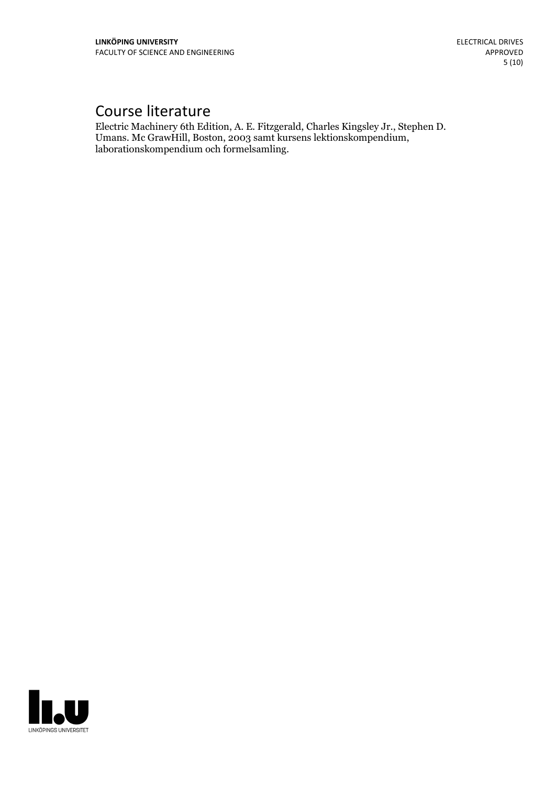# Course literature

Electric Machinery 6th Edition, A. E. Fitzgerald, Charles Kingsley Jr., Stephen D. Umans. Mc GrawHill, Boston, <sup>2003</sup> samt kursens lektionskompendium, laborationskompendium och formelsamling.

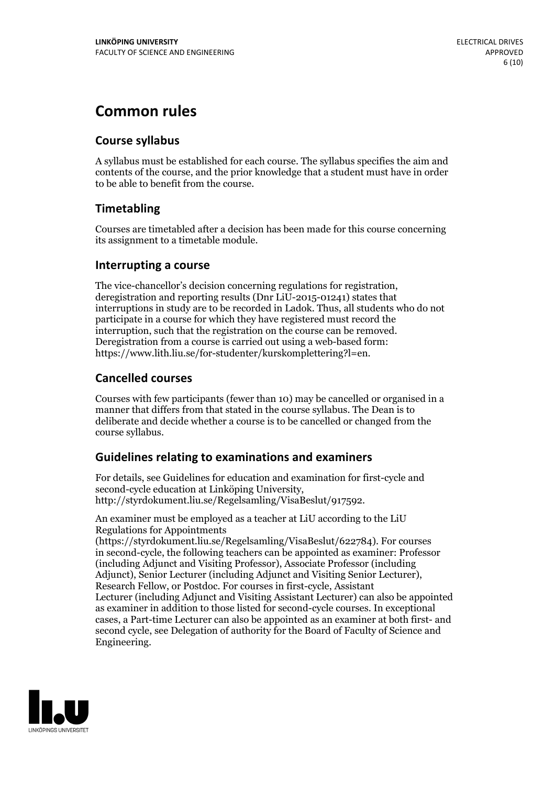# **Common rules**

#### **Course syllabus**

A syllabus must be established for each course. The syllabus specifies the aim and contents of the course, and the prior knowledge that a student must have in order to be able to benefit from the course.

### **Timetabling**

Courses are timetabled after a decision has been made for this course concerning its assignment to a timetable module.

#### **Interrupting a course**

The vice-chancellor's decision concerning regulations for registration, deregistration and reporting results (Dnr LiU-2015-01241) states that interruptions in study are to be recorded in Ladok. Thus, all students who do not participate in a course for which they have registered must record the interruption, such that the registration on the course can be removed. Deregistration from <sup>a</sup> course is carried outusing <sup>a</sup> web-based form: https://www.lith.liu.se/for-studenter/kurskomplettering?l=en.

### **Cancelled courses**

Courses with few participants (fewer than 10) may be cancelled or organised in a manner that differs from that stated in the course syllabus. The Dean is to deliberate and decide whether a course is to be cancelled or changed from the course syllabus.

### **Guidelines relatingto examinations and examiners**

For details, see Guidelines for education and examination for first-cycle and second-cycle education at Linköping University, http://styrdokument.liu.se/Regelsamling/VisaBeslut/917592.

An examiner must be employed as a teacher at LiU according to the LiU Regulations for Appointments

(https://styrdokument.liu.se/Regelsamling/VisaBeslut/622784). For courses in second-cycle, the following teachers can be appointed as examiner: Professor (including Adjunct and Visiting Professor), Associate Professor (including Adjunct), Senior Lecturer (including Adjunct and Visiting Senior Lecturer), Research Fellow, or Postdoc. For courses in first-cycle, Assistant Lecturer (including Adjunct and Visiting Assistant Lecturer) can also be appointed as examiner in addition to those listed for second-cycle courses. In exceptional cases, a Part-time Lecturer can also be appointed as an examiner at both first- and second cycle, see Delegation of authority for the Board of Faculty of Science and Engineering.

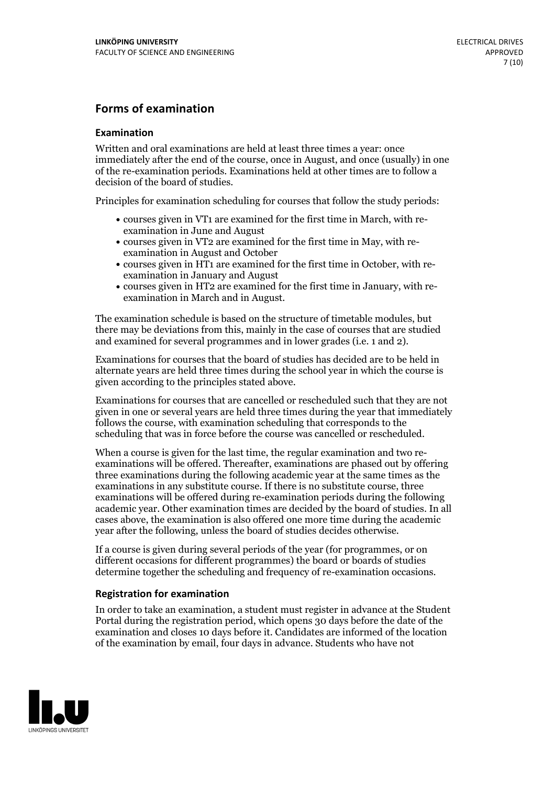#### **Forms of examination**

#### **Examination**

Written and oral examinations are held at least three times a year: once immediately after the end of the course, once in August, and once (usually) in one of the re-examination periods. Examinations held at other times are to follow a decision of the board of studies.

Principles for examination scheduling for courses that follow the study periods:

- courses given in VT1 are examined for the first time in March, with re-examination in June and August
- courses given in VT2 are examined for the first time in May, with re-examination in August and October
- courses given in HT1 are examined for the first time in October, with re-examination in January and August
- courses given in HT2 are examined for the first time in January, with re-examination in March and in August.

The examination schedule is based on the structure of timetable modules, but there may be deviations from this, mainly in the case of courses that are studied and examined for several programmes and in lower grades (i.e. 1 and 2).

Examinations for courses that the board of studies has decided are to be held in alternate years are held three times during the school year in which the course is given according to the principles stated above.

Examinations for courses that are cancelled orrescheduled such that they are not given in one or several years are held three times during the year that immediately follows the course, with examination scheduling that corresponds to the scheduling that was in force before the course was cancelled or rescheduled.

When a course is given for the last time, the regular examination and two re-<br>examinations will be offered. Thereafter, examinations are phased out by offering three examinations during the following academic year at the same times as the examinations in any substitute course. If there is no substitute course, three examinations will be offered during re-examination periods during the following academic year. Other examination times are decided by the board of studies. In all cases above, the examination is also offered one more time during the academic year after the following, unless the board of studies decides otherwise.

If a course is given during several periods of the year (for programmes, or on different occasions for different programmes) the board or boards of studies determine together the scheduling and frequency of re-examination occasions.

#### **Registration for examination**

In order to take an examination, a student must register in advance at the Student Portal during the registration period, which opens 30 days before the date of the examination and closes 10 days before it. Candidates are informed of the location of the examination by email, four days in advance. Students who have not

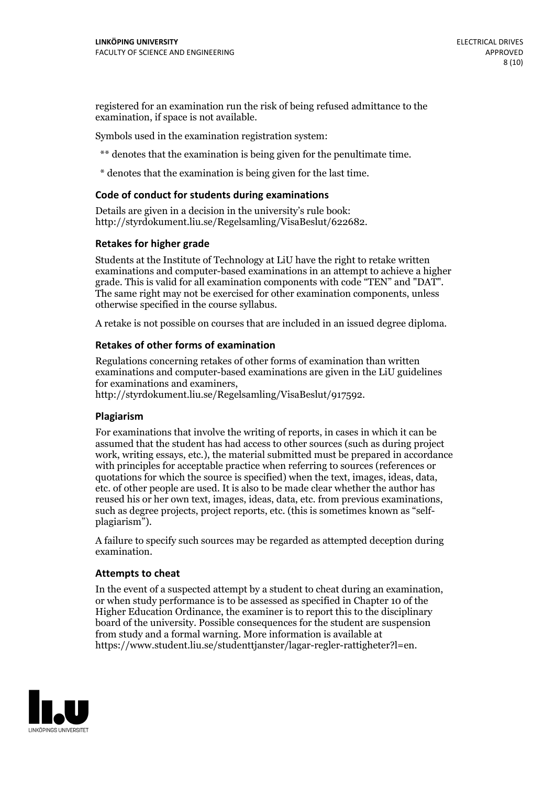registered for an examination run the risk of being refused admittance to the examination, if space is not available.

Symbols used in the examination registration system:

\*\* denotes that the examination is being given for the penultimate time.

\* denotes that the examination is being given for the last time.

#### **Code of conduct for students during examinations**

Details are given in a decision in the university's rule book: http://styrdokument.liu.se/Regelsamling/VisaBeslut/622682.

#### **Retakes for higher grade**

Students at the Institute of Technology at LiU have the right to retake written examinations and computer-based examinations in an attempt to achieve a higher grade. This is valid for all examination components with code "TEN" and "DAT". The same right may not be exercised for other examination components, unless otherwise specified in the course syllabus.

A retake is not possible on courses that are included in an issued degree diploma.

#### **Retakes of other forms of examination**

Regulations concerning retakes of other forms of examination than written examinations and computer-based examinations are given in the LiU guidelines

http://styrdokument.liu.se/Regelsamling/VisaBeslut/917592.

#### **Plagiarism**

For examinations that involve the writing of reports, in cases in which it can be assumed that the student has had access to other sources (such as during project work, writing essays, etc.), the material submitted must be prepared in accordance with principles for acceptable practice when referring to sources (references or quotations for which the source is specified) when the text, images, ideas, data,  $\vec{e}$  etc. of other people are used. It is also to be made clear whether the author has reused his or her own text, images, ideas, data, etc. from previous examinations, such as degree projects, project reports, etc. (this is sometimes known as "self- plagiarism").

A failure to specify such sources may be regarded as attempted deception during examination.

#### **Attempts to cheat**

In the event of <sup>a</sup> suspected attempt by <sup>a</sup> student to cheat during an examination, or when study performance is to be assessed as specified in Chapter <sup>10</sup> of the Higher Education Ordinance, the examiner is to report this to the disciplinary board of the university. Possible consequences for the student are suspension from study and a formal warning. More information is available at https://www.student.liu.se/studenttjanster/lagar-regler-rattigheter?l=en.

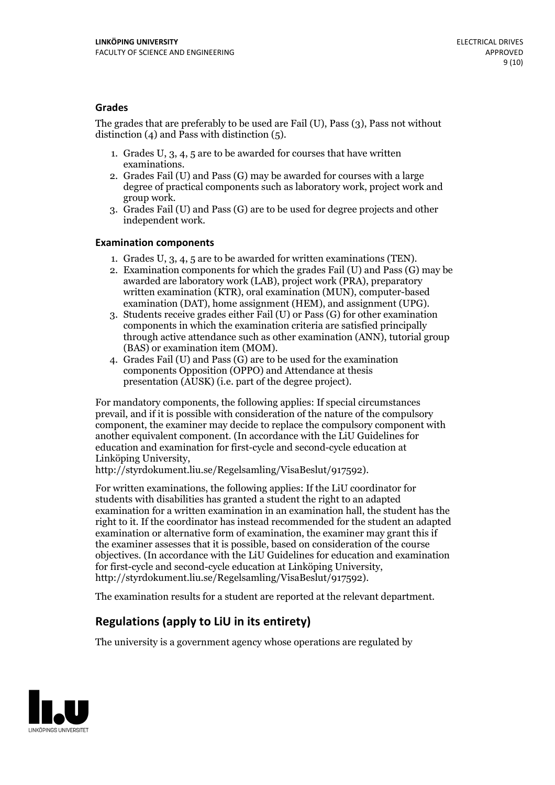#### **Grades**

The grades that are preferably to be used are Fail (U), Pass (3), Pass not without distinction  $(4)$  and Pass with distinction  $(5)$ .

- 1. Grades U, 3, 4, 5 are to be awarded for courses that have written
- examinations. 2. Grades Fail (U) and Pass (G) may be awarded for courses with <sup>a</sup> large degree of practical components such as laboratory work, project work and group work. 3. Grades Fail (U) and Pass (G) are to be used for degree projects and other
- independent work.

#### **Examination components**

- 
- 1. Grades U, 3, 4, <sup>5</sup> are to be awarded for written examinations (TEN). 2. Examination components for which the grades Fail (U) and Pass (G) may be awarded are laboratory work (LAB), project work (PRA), preparatory written examination (KTR), oral examination (MUN), computer-based
- examination (DAT), home assignment (HEM), and assignment (UPG). 3. Students receive grades either Fail (U) or Pass (G) for other examination components in which the examination criteria are satisfied principally through active attendance such as other examination (ANN), tutorial group (BAS) or examination item (MOM). 4. Grades Fail (U) and Pass (G) are to be used for the examination
- components Opposition (OPPO) and Attendance at thesis presentation (AUSK) (i.e. part of the degree project).

For mandatory components, the following applies: If special circumstances prevail, and if it is possible with consideration of the nature of the compulsory component, the examiner may decide to replace the compulsory component with another equivalent component. (In accordance with the LiU Guidelines for education and examination for first-cycle and second-cycle education at Linköping University, http://styrdokument.liu.se/Regelsamling/VisaBeslut/917592).

For written examinations, the following applies: If the LiU coordinator for students with disabilities has granted a student the right to an adapted examination for a written examination in an examination hall, the student has the right to it. If the coordinator has instead recommended for the student an adapted examination or alternative form of examination, the examiner may grant this if the examiner assesses that it is possible, based on consideration of the course objectives. (In accordance with the LiU Guidelines for education and examination for first-cycle and second-cycle education at Linköping University, http://styrdokument.liu.se/Regelsamling/VisaBeslut/917592).

The examination results for a student are reported at the relevant department.

### **Regulations (applyto LiU in its entirety)**

The university is a government agency whose operations are regulated by